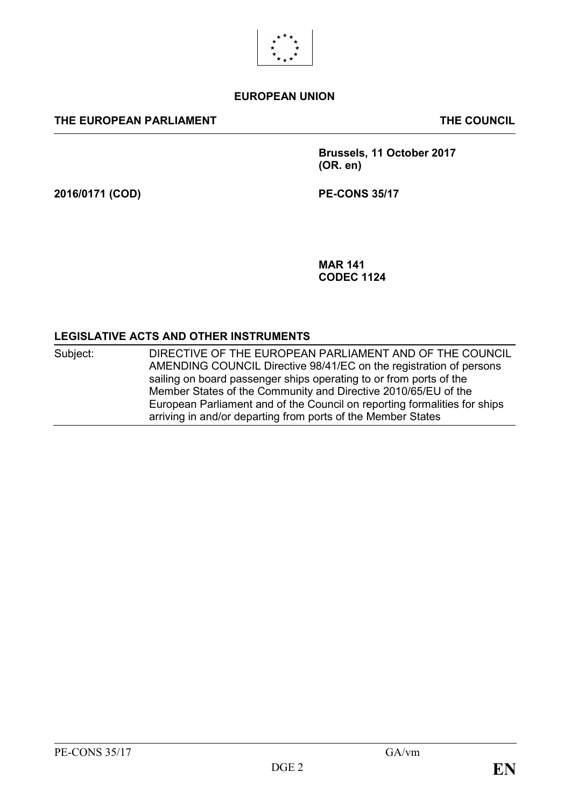

#### **EUROPEAN UNION**

#### **THE EUROPEAN PARLIAMENT THE COUNCIL**

**Brussels, 11 October 2017 (OR. en)**

**2016/0171 (COD) PE-CONS 35/17**

**MAR 141 CODEC 1124**

#### **LEGISLATIVE ACTS AND OTHER INSTRUMENTS**

Subject: DIRECTIVE OF THE EUROPEAN PARLIAMENT AND OF THE COUNCIL AMENDING COUNCIL Directive 98/41/EC on the registration of persons sailing on board passenger ships operating to or from ports of the Member States of the Community and Directive 2010/65/EU of the European Parliament and of the Council on reporting formalities for ships arriving in and/or departing from ports of the Member States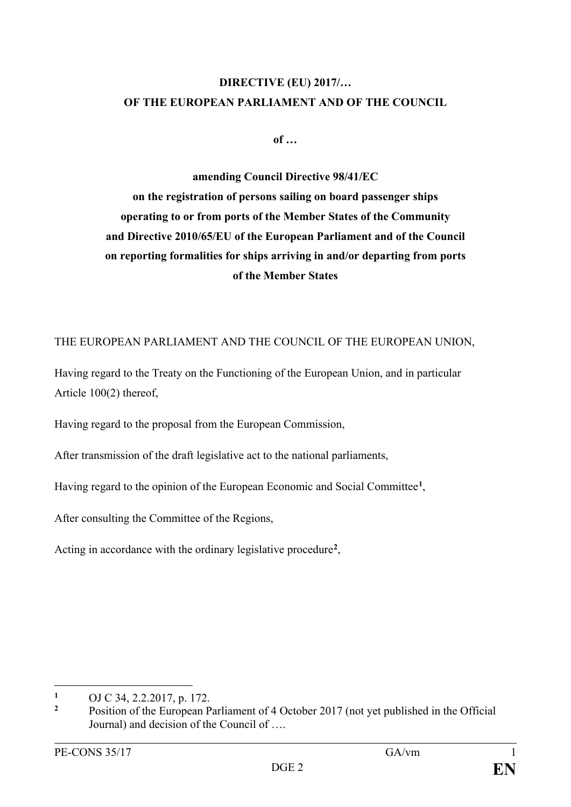## **DIRECTIVE (EU) 2017/… OF THE EUROPEAN PARLIAMENT AND OF THE COUNCIL**

**of …**

**amending Council Directive 98/41/EC on the registration of persons sailing on board passenger ships operating to or from ports of the Member States of the Community and Directive 2010/65/EU of the European Parliament and of the Council on reporting formalities for ships arriving in and/or departing from ports of the Member States**

THE EUROPEAN PARLIAMENT AND THE COUNCIL OF THE EUROPEAN UNION,

Having regard to the Treaty on the Functioning of the European Union, and in particular Article 100(2) thereof,

Having regard to the proposal from the European Commission,

After transmission of the draft legislative act to the national parliaments,

Having regard to the opinion of the European Economic and Social Committee**[1](#page-1-0)**,

After consulting the Committee of the Regions,

Acting in accordance with the ordinary legislative procedure**[2](#page-1-1)**,

<span id="page-1-0"></span> $\mathbf{1}$ **<sup>1</sup>** OJ C 34, 2.2.2017, p. 172.

<span id="page-1-1"></span>**<sup>2</sup>** Position of the European Parliament of 4 October 2017 (not yet published in the Official Journal) and decision of the Council of ….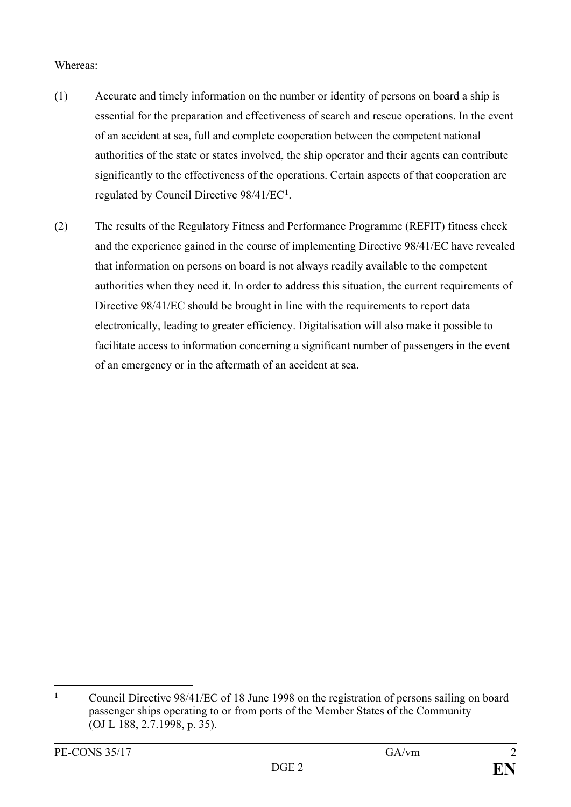#### Whereas:

- (1) Accurate and timely information on the number or identity of persons on board a ship is essential for the preparation and effectiveness of search and rescue operations. In the event of an accident at sea, full and complete cooperation between the competent national authorities of the state or states involved, the ship operator and their agents can contribute significantly to the effectiveness of the operations. Certain aspects of that cooperation are regulated by Council Directive 98/41/EC**[1](#page-2-0)** .
- (2) The results of the Regulatory Fitness and Performance Programme (REFIT) fitness check and the experience gained in the course of implementing Directive 98/41/EC have revealed that information on persons on board is not always readily available to the competent authorities when they need it. In order to address this situation, the current requirements of Directive 98/41/EC should be brought in line with the requirements to report data electronically, leading to greater efficiency. Digitalisation will also make it possible to facilitate access to information concerning a significant number of passengers in the event of an emergency or in the aftermath of an accident at sea.

<span id="page-2-0"></span> $\mathbf{1}$ **<sup>1</sup>** Council Directive 98/41/EC of 18 June 1998 on the registration of persons sailing on board passenger ships operating to or from ports of the Member States of the Community (OJ L 188, 2.7.1998, p. 35).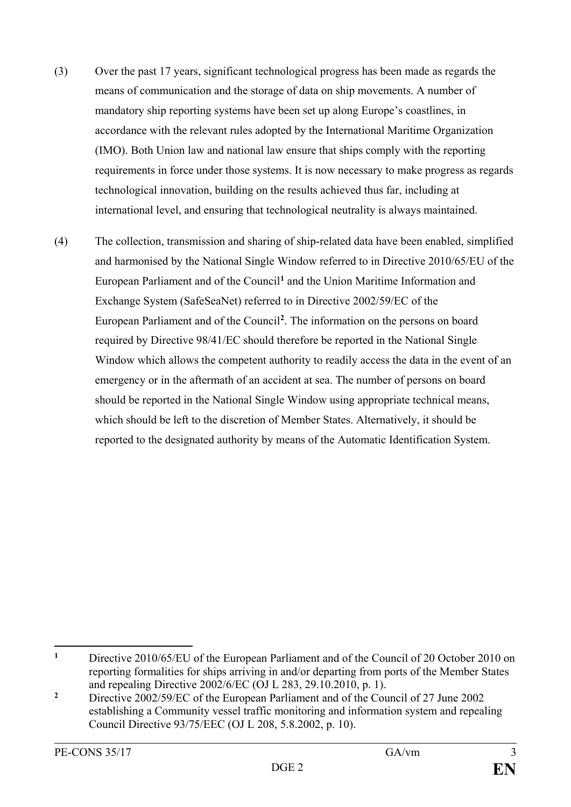- (3) Over the past 17 years, significant technological progress has been made as regards the means of communication and the storage of data on ship movements. A number of mandatory ship reporting systems have been set up along Europe's coastlines, in accordance with the relevant rules adopted by the International Maritime Organization (IMO). Both Union law and national law ensure that ships comply with the reporting requirements in force under those systems. It is now necessary to make progress as regards technological innovation, building on the results achieved thus far, including at international level, and ensuring that technological neutrality is always maintained.
- (4) The collection, transmission and sharing of ship-related data have been enabled, simplified and harmonised by the National Single Window referred to in Directive 2010/65/EU of the European Parliament and of the Council**[1](#page-3-0)** and the Union Maritime Information and Exchange System (SafeSeaNet) referred to in Directive 2002/59/EC of the European Parliament and of the Council**[2](#page-3-1)**. The information on the persons on board required by Directive 98/41/EC should therefore be reported in the National Single Window which allows the competent authority to readily access the data in the event of an emergency or in the aftermath of an accident at sea. The number of persons on board should be reported in the National Single Window using appropriate technical means, which should be left to the discretion of Member States. Alternatively, it should be reported to the designated authority by means of the Automatic Identification System.

<span id="page-3-0"></span> $\mathbf{1}$ **<sup>1</sup>** Directive 2010/65/EU of the European Parliament and of the Council of 20 October 2010 on reporting formalities for ships arriving in and/or departing from ports of the Member States and repealing Directive 2002/6/EC (OJ L 283, 29.10.2010, p. 1).

<span id="page-3-1"></span><sup>&</sup>lt;sup>2</sup> Directive 2002/59/EC of the European Parliament and of the Council of 27 June 2002 establishing a Community vessel traffic monitoring and information system and repealing Council Directive 93/75/EEC (OJ L 208, 5.8.2002, p. 10).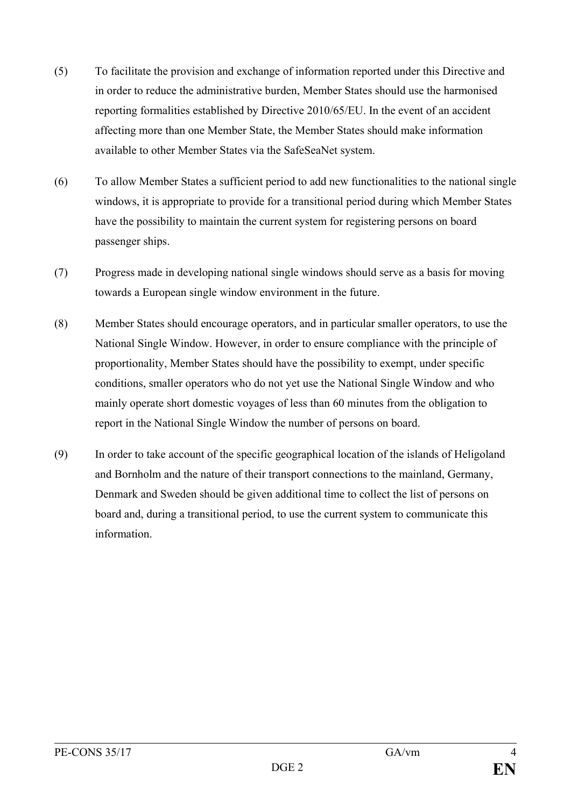- (5) To facilitate the provision and exchange of information reported under this Directive and in order to reduce the administrative burden, Member States should use the harmonised reporting formalities established by Directive 2010/65/EU. In the event of an accident affecting more than one Member State, the Member States should make information available to other Member States via the SafeSeaNet system.
- (6) To allow Member States a sufficient period to add new functionalities to the national single windows, it is appropriate to provide for a transitional period during which Member States have the possibility to maintain the current system for registering persons on board passenger ships.
- (7) Progress made in developing national single windows should serve as a basis for moving towards a European single window environment in the future.
- (8) Member States should encourage operators, and in particular smaller operators, to use the National Single Window. However, in order to ensure compliance with the principle of proportionality, Member States should have the possibility to exempt, under specific conditions, smaller operators who do not yet use the National Single Window and who mainly operate short domestic voyages of less than 60 minutes from the obligation to report in the National Single Window the number of persons on board.
- (9) In order to take account of the specific geographical location of the islands of Heligoland and Bornholm and the nature of their transport connections to the mainland, Germany, Denmark and Sweden should be given additional time to collect the list of persons on board and, during a transitional period, to use the current system to communicate this information.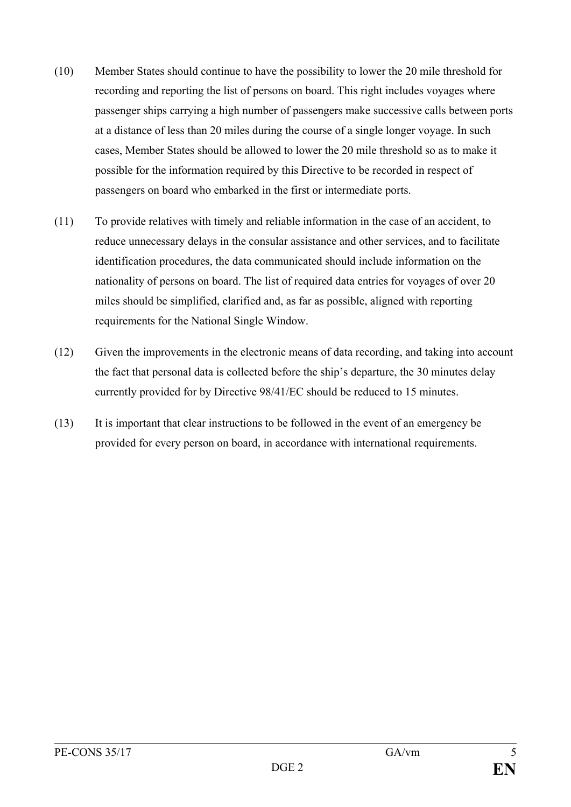- (10) Member States should continue to have the possibility to lower the 20 mile threshold for recording and reporting the list of persons on board. This right includes voyages where passenger ships carrying a high number of passengers make successive calls between ports at a distance of less than 20 miles during the course of a single longer voyage. In such cases, Member States should be allowed to lower the 20 mile threshold so as to make it possible for the information required by this Directive to be recorded in respect of passengers on board who embarked in the first or intermediate ports.
- (11) To provide relatives with timely and reliable information in the case of an accident, to reduce unnecessary delays in the consular assistance and other services, and to facilitate identification procedures, the data communicated should include information on the nationality of persons on board. The list of required data entries for voyages of over 20 miles should be simplified, clarified and, as far as possible, aligned with reporting requirements for the National Single Window.
- (12) Given the improvements in the electronic means of data recording, and taking into account the fact that personal data is collected before the ship's departure, the 30 minutes delay currently provided for by Directive 98/41/EC should be reduced to 15 minutes.
- (13) It is important that clear instructions to be followed in the event of an emergency be provided for every person on board, in accordance with international requirements.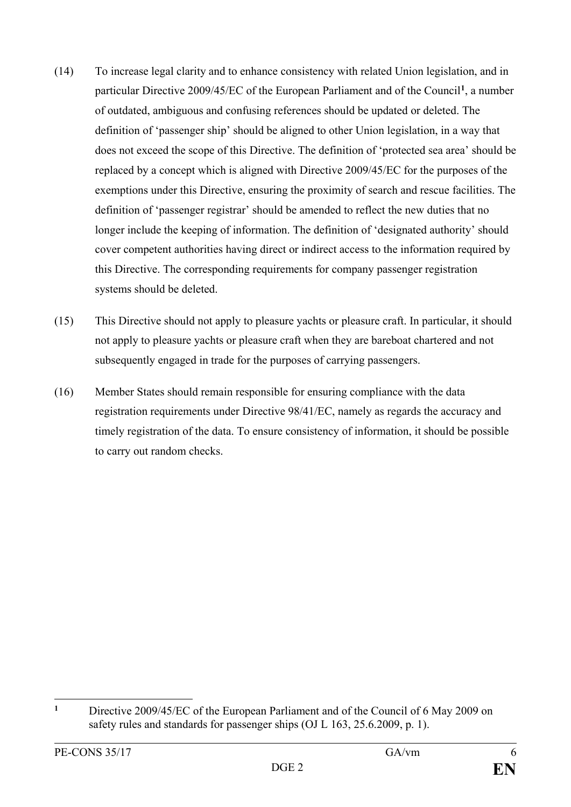- (14) To increase legal clarity and to enhance consistency with related Union legislation, and in particular Directive 2009/45/EC of the European Parliament and of the Council**[1](#page-6-0)** , a number of outdated, ambiguous and confusing references should be updated or deleted. The definition of 'passenger ship' should be aligned to other Union legislation, in a way that does not exceed the scope of this Directive. The definition of 'protected sea area' should be replaced by a concept which is aligned with Directive 2009/45/EC for the purposes of the exemptions under this Directive, ensuring the proximity of search and rescue facilities. The definition of 'passenger registrar' should be amended to reflect the new duties that no longer include the keeping of information. The definition of 'designated authority' should cover competent authorities having direct or indirect access to the information required by this Directive. The corresponding requirements for company passenger registration systems should be deleted.
- (15) This Directive should not apply to pleasure yachts or pleasure craft. In particular, it should not apply to pleasure yachts or pleasure craft when they are bareboat chartered and not subsequently engaged in trade for the purposes of carrying passengers.
- (16) Member States should remain responsible for ensuring compliance with the data registration requirements under Directive 98/41/EC, namely as regards the accuracy and timely registration of the data. To ensure consistency of information, it should be possible to carry out random checks.

<span id="page-6-0"></span> $\mathbf{1}$ **<sup>1</sup>** Directive 2009/45/EC of the European Parliament and of the Council of 6 May 2009 on safety rules and standards for passenger ships (OJ L 163, 25.6.2009, p. 1).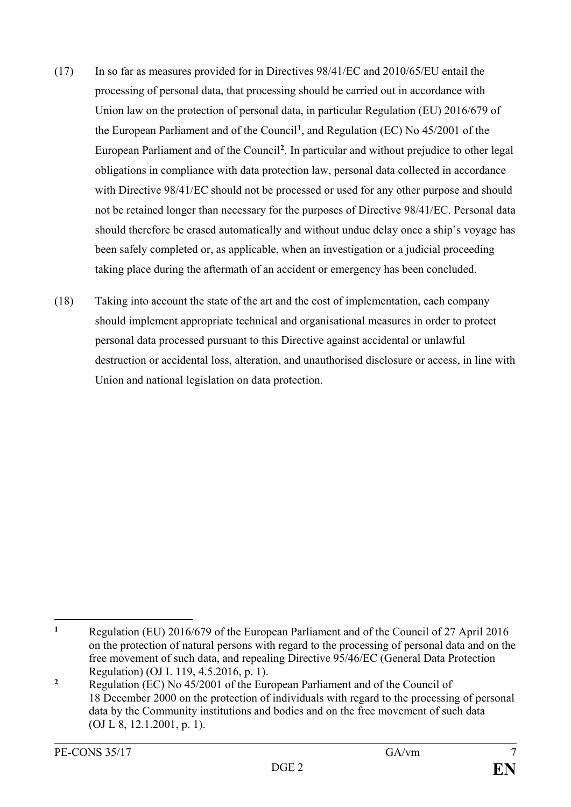- (17) In so far as measures provided for in Directives 98/41/EC and 2010/65/EU entail the processing of personal data, that processing should be carried out in accordance with Union law on the protection of personal data, in particular Regulation (EU) 2016/679 of the European Parliament and of the Council**[1](#page-7-0)**, and Regulation (EC) No 45/2001 of the European Parliament and of the Council**[2](#page-7-1)** . In particular and without prejudice to other legal obligations in compliance with data protection law, personal data collected in accordance with Directive 98/41/EC should not be processed or used for any other purpose and should not be retained longer than necessary for the purposes of Directive 98/41/EC. Personal data should therefore be erased automatically and without undue delay once a ship's voyage has been safely completed or, as applicable, when an investigation or a judicial proceeding taking place during the aftermath of an accident or emergency has been concluded.
- (18) Taking into account the state of the art and the cost of implementation, each company should implement appropriate technical and organisational measures in order to protect personal data processed pursuant to this Directive against accidental or unlawful destruction or accidental loss, alteration, and unauthorised disclosure or access, in line with Union and national legislation on data protection.

<span id="page-7-0"></span> $\mathbf{1}$ **<sup>1</sup>** Regulation (EU) 2016/679 of the European Parliament and of the Council of 27 April 2016 on the protection of natural persons with regard to the processing of personal data and on the free movement of such data, and repealing Directive 95/46/EC (General Data Protection Regulation) (OJ L 119, 4.5.2016, p. 1).

<span id="page-7-1"></span>**<sup>2</sup>** Regulation (EC) No 45/2001 of the European Parliament and of the Council of 18 December 2000 on the protection of individuals with regard to the processing of personal data by the Community institutions and bodies and on the free movement of such data (OJ L 8, 12.1.2001, p. 1).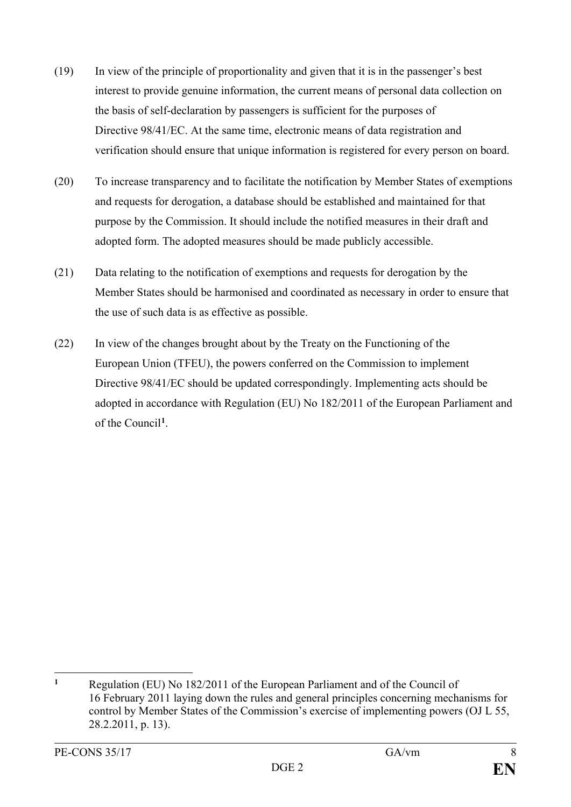- (19) In view of the principle of proportionality and given that it is in the passenger's best interest to provide genuine information, the current means of personal data collection on the basis of self-declaration by passengers is sufficient for the purposes of Directive 98/41/EC. At the same time, electronic means of data registration and verification should ensure that unique information is registered for every person on board.
- (20) To increase transparency and to facilitate the notification by Member States of exemptions and requests for derogation, a database should be established and maintained for that purpose by the Commission. It should include the notified measures in their draft and adopted form. The adopted measures should be made publicly accessible.
- (21) Data relating to the notification of exemptions and requests for derogation by the Member States should be harmonised and coordinated as necessary in order to ensure that the use of such data is as effective as possible.
- (22) In view of the changes brought about by the Treaty on the Functioning of the European Union (TFEU), the powers conferred on the Commission to implement Directive 98/41/EC should be updated correspondingly. Implementing acts should be adopted in accordance with Regulation (EU) No 182/2011 of the European Parliament and of the Council**[1](#page-8-0)**.

<span id="page-8-0"></span> $\overline{a}$ **<sup>1</sup>** Regulation (EU) No 182/2011 of the European Parliament and of the Council of 16 February 2011 laying down the rules and general principles concerning mechanisms for control by Member States of the Commission's exercise of implementing powers (OJ L 55, 28.2.2011, p. 13).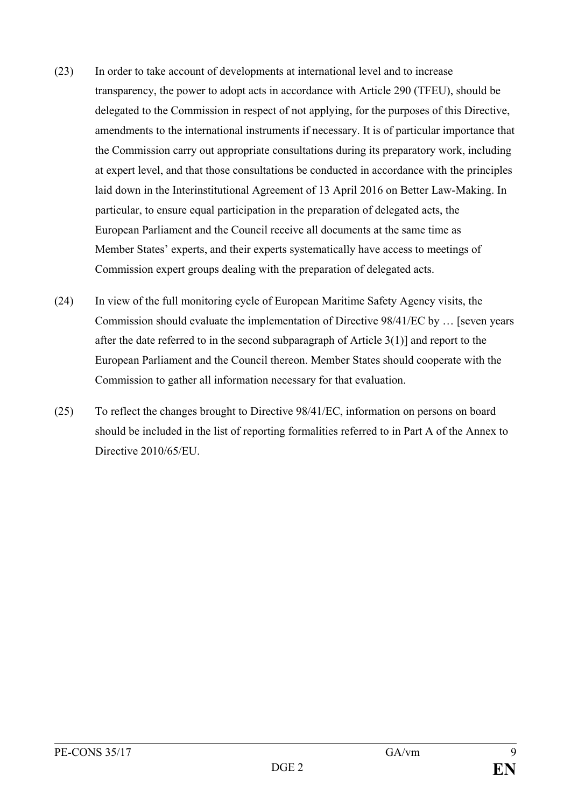- (23) In order to take account of developments at international level and to increase transparency, the power to adopt acts in accordance with Article 290 (TFEU), should be delegated to the Commission in respect of not applying, for the purposes of this Directive, amendments to the international instruments if necessary. It is of particular importance that the Commission carry out appropriate consultations during its preparatory work, including at expert level, and that those consultations be conducted in accordance with the principles laid down in the Interinstitutional Agreement of 13 April 2016 on Better Law-Making. In particular, to ensure equal participation in the preparation of delegated acts, the European Parliament and the Council receive all documents at the same time as Member States' experts, and their experts systematically have access to meetings of Commission expert groups dealing with the preparation of delegated acts.
- (24) In view of the full monitoring cycle of European Maritime Safety Agency visits, the Commission should evaluate the implementation of Directive 98/41/EC by … [seven years after the date referred to in the second subparagraph of Article 3(1)] and report to the European Parliament and the Council thereon. Member States should cooperate with the Commission to gather all information necessary for that evaluation.
- (25) To reflect the changes brought to Directive 98/41/EC, information on persons on board should be included in the list of reporting formalities referred to in Part A of the Annex to Directive 2010/65/EU.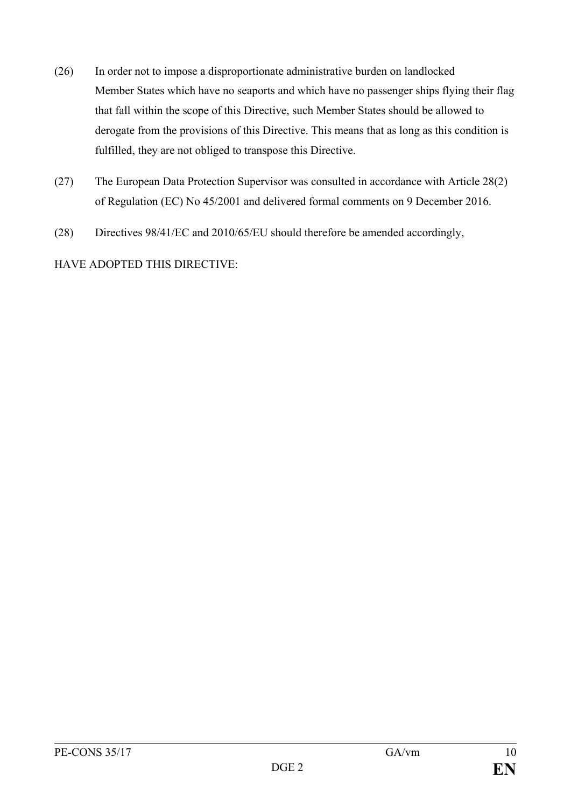- (26) In order not to impose a disproportionate administrative burden on landlocked Member States which have no seaports and which have no passenger ships flying their flag that fall within the scope of this Directive, such Member States should be allowed to derogate from the provisions of this Directive. This means that as long as this condition is fulfilled, they are not obliged to transpose this Directive.
- (27) The European Data Protection Supervisor was consulted in accordance with Article 28(2) of Regulation (EC) No 45/2001 and delivered formal comments on 9 December 2016.
- (28) Directives 98/41/EC and 2010/65/EU should therefore be amended accordingly,

HAVE ADOPTED THIS DIRECTIVE: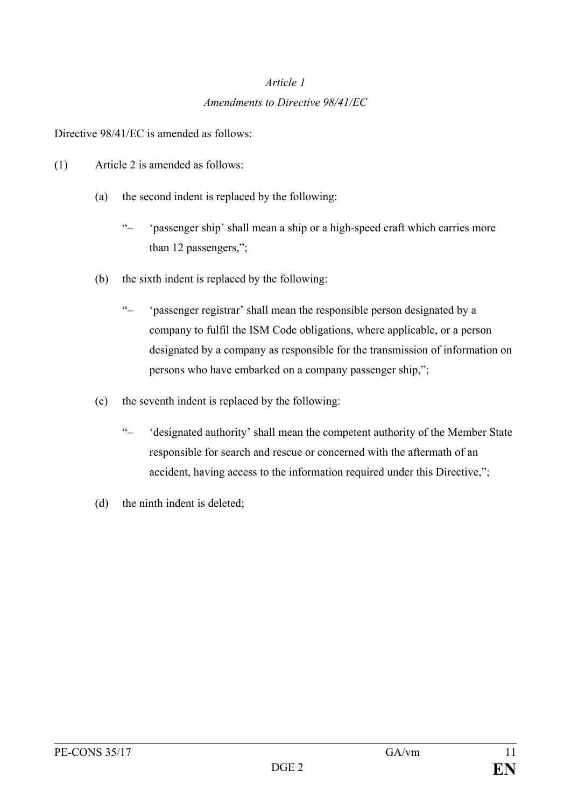# *Article 1 Amendments to Directive 98/41/EC*

Directive 98/41/EC is amended as follows:

- (1) Article 2 is amended as follows:
	- (a) the second indent is replaced by the following:
		- "– 'passenger ship' shall mean a ship or a high-speed craft which carries more than 12 passengers,";
	- (b) the sixth indent is replaced by the following:
		- "– 'passenger registrar' shall mean the responsible person designated by a company to fulfil the ISM Code obligations, where applicable, or a person designated by a company as responsible for the transmission of information on persons who have embarked on a company passenger ship,";
	- (c) the seventh indent is replaced by the following:
		- "– 'designated authority' shall mean the competent authority of the Member State responsible for search and rescue or concerned with the aftermath of an accident, having access to the information required under this Directive,";
	- (d) the ninth indent is deleted;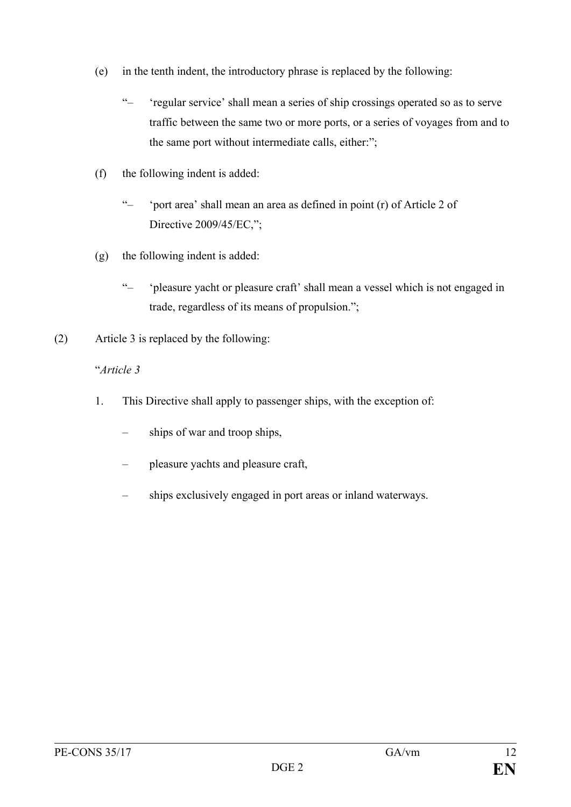- (e) in the tenth indent, the introductory phrase is replaced by the following:
	- "– 'regular service' shall mean a series of ship crossings operated so as to serve traffic between the same two or more ports, or a series of voyages from and to the same port without intermediate calls, either:";
- (f) the following indent is added:
	- "– 'port area' shall mean an area as defined in point (r) of Article 2 of Directive 2009/45/EC,";
- (g) the following indent is added:
	- "– 'pleasure yacht or pleasure craft' shall mean a vessel which is not engaged in trade, regardless of its means of propulsion.";
- (2) Article 3 is replaced by the following:

#### "*Article 3*

- 1. This Directive shall apply to passenger ships, with the exception of:
	- ships of war and troop ships,
	- pleasure yachts and pleasure craft,
	- ships exclusively engaged in port areas or inland waterways.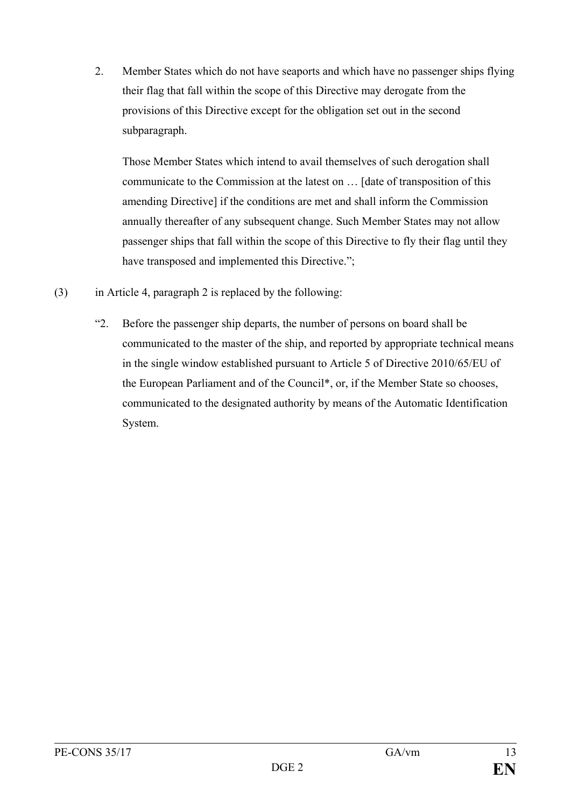2. Member States which do not have seaports and which have no passenger ships flying their flag that fall within the scope of this Directive may derogate from the provisions of this Directive except for the obligation set out in the second subparagraph.

Those Member States which intend to avail themselves of such derogation shall communicate to the Commission at the latest on … [date of transposition of this amending Directive] if the conditions are met and shall inform the Commission annually thereafter of any subsequent change. Such Member States may not allow passenger ships that fall within the scope of this Directive to fly their flag until they have transposed and implemented this Directive.";

- (3) in Article 4, paragraph 2 is replaced by the following:
	- "2. Before the passenger ship departs, the number of persons on board shall be communicated to the master of the ship, and reported by appropriate technical means in the single window established pursuant to Article 5 of Directive 2010/65/EU of the European Parliament and of the Council\*, or, if the Member State so chooses, communicated to the designated authority by means of the Automatic Identification System.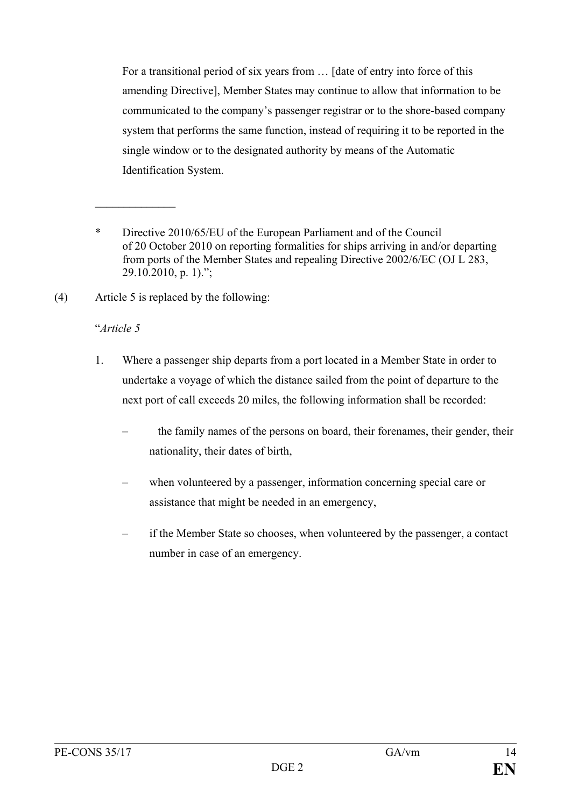For a transitional period of six years from … [date of entry into force of this amending Directive], Member States may continue to allow that information to be communicated to the company's passenger registrar or to the shore-based company system that performs the same function, instead of requiring it to be reported in the single window or to the designated authority by means of the Automatic Identification System.

(4) Article 5 is replaced by the following:

### "*Article 5*

 $\mathcal{L}_\text{max}$  . The set of the set of the set of the set of the set of the set of the set of the set of the set of the set of the set of the set of the set of the set of the set of the set of the set of the set of the set

- 1. Where a passenger ship departs from a port located in a Member State in order to undertake a voyage of which the distance sailed from the point of departure to the next port of call exceeds 20 miles, the following information shall be recorded:
	- the family names of the persons on board, their forenames, their gender, their nationality, their dates of birth,
	- when volunteered by a passenger, information concerning special care or assistance that might be needed in an emergency,
	- if the Member State so chooses, when volunteered by the passenger, a contact number in case of an emergency.

<sup>\*</sup> Directive 2010/65/EU of the European Parliament and of the Council of 20 October 2010 on reporting formalities for ships arriving in and/or departing from ports of the Member States and repealing Directive 2002/6/EC (OJ L 283, 29.10.2010, p. 1).";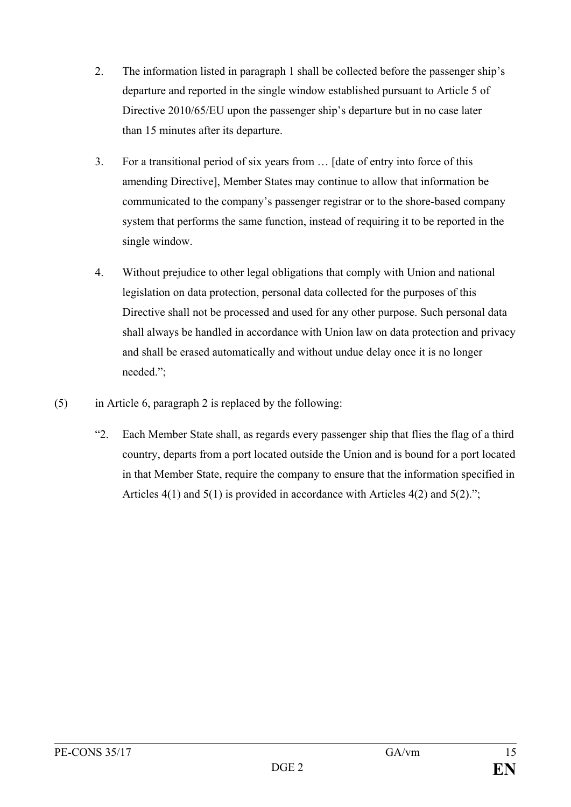- 2. The information listed in paragraph 1 shall be collected before the passenger ship's departure and reported in the single window established pursuant to Article 5 of Directive 2010/65/EU upon the passenger ship's departure but in no case later than 15 minutes after its departure.
- 3. For a transitional period of six years from … [date of entry into force of this amending Directive], Member States may continue to allow that information be communicated to the company's passenger registrar or to the shore-based company system that performs the same function, instead of requiring it to be reported in the single window.
- 4. Without prejudice to other legal obligations that comply with Union and national legislation on data protection, personal data collected for the purposes of this Directive shall not be processed and used for any other purpose. Such personal data shall always be handled in accordance with Union law on data protection and privacy and shall be erased automatically and without undue delay once it is no longer needed.";
- (5) in Article 6, paragraph 2 is replaced by the following:
	- "2. Each Member State shall, as regards every passenger ship that flies the flag of a third country, departs from a port located outside the Union and is bound for a port located in that Member State, require the company to ensure that the information specified in Articles 4(1) and 5(1) is provided in accordance with Articles 4(2) and 5(2).";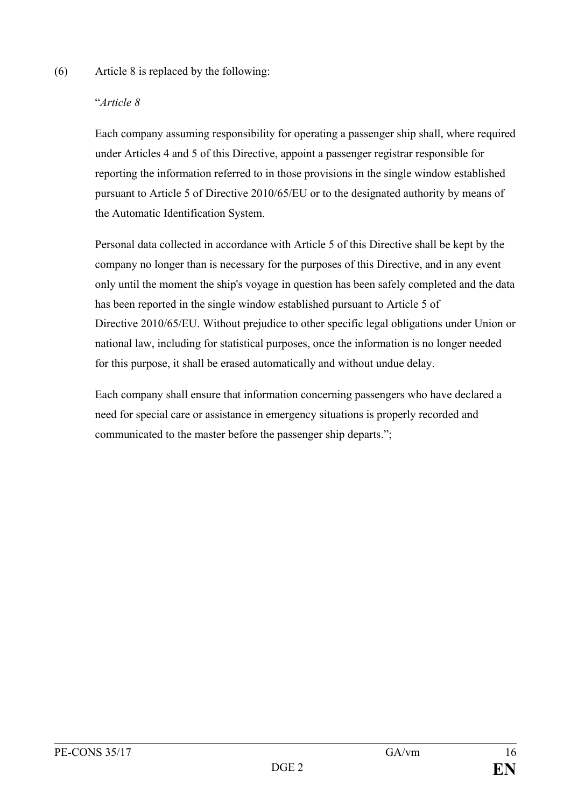#### (6) Article 8 is replaced by the following:

#### "*Article 8*

Each company assuming responsibility for operating a passenger ship shall, where required under Articles 4 and 5 of this Directive, appoint a passenger registrar responsible for reporting the information referred to in those provisions in the single window established pursuant to Article 5 of Directive 2010/65/EU or to the designated authority by means of the Automatic Identification System.

Personal data collected in accordance with Article 5 of this Directive shall be kept by the company no longer than is necessary for the purposes of this Directive, and in any event only until the moment the ship's voyage in question has been safely completed and the data has been reported in the single window established pursuant to Article 5 of Directive 2010/65/EU. Without prejudice to other specific legal obligations under Union or national law, including for statistical purposes, once the information is no longer needed for this purpose, it shall be erased automatically and without undue delay.

Each company shall ensure that information concerning passengers who have declared a need for special care or assistance in emergency situations is properly recorded and communicated to the master before the passenger ship departs.";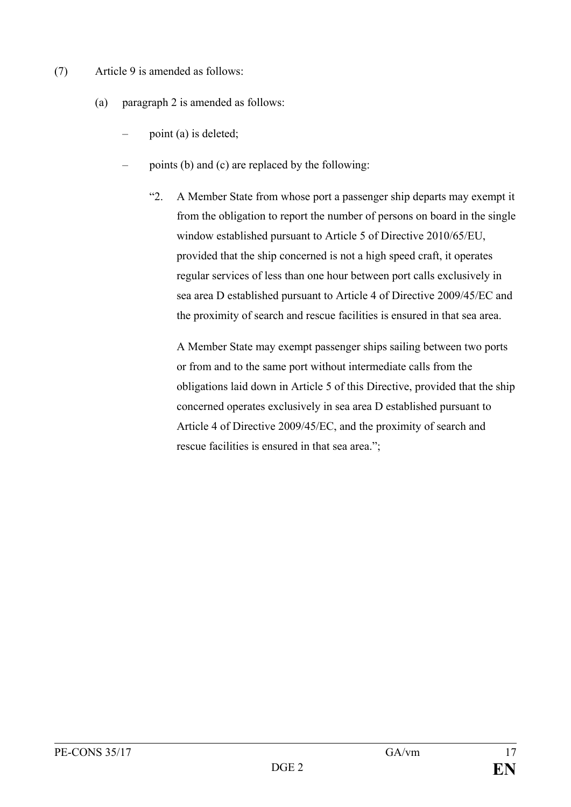- (7) Article 9 is amended as follows:
	- (a) paragraph 2 is amended as follows:
		- point (a) is deleted;
		- points (b) and (c) are replaced by the following:
			- "2. A Member State from whose port a passenger ship departs may exempt it from the obligation to report the number of persons on board in the single window established pursuant to Article 5 of Directive 2010/65/EU, provided that the ship concerned is not a high speed craft, it operates regular services of less than one hour between port calls exclusively in sea area D established pursuant to Article 4 of Directive 2009/45/EC and the proximity of search and rescue facilities is ensured in that sea area.

A Member State may exempt passenger ships sailing between two ports or from and to the same port without intermediate calls from the obligations laid down in Article 5 of this Directive, provided that the ship concerned operates exclusively in sea area D established pursuant to Article 4 of Directive 2009/45/EC, and the proximity of search and rescue facilities is ensured in that sea area.";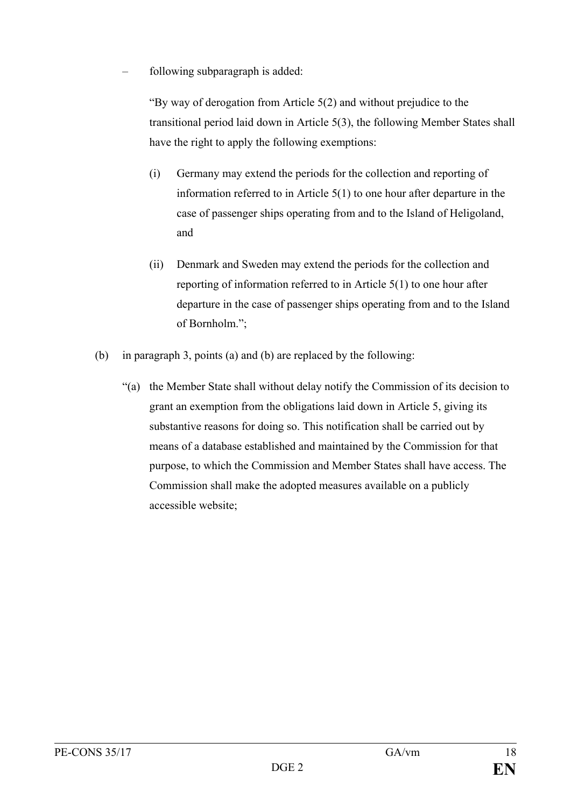– following subparagraph is added:

"By way of derogation from Article 5(2) and without prejudice to the transitional period laid down in Article 5(3), the following Member States shall have the right to apply the following exemptions:

- (i) Germany may extend the periods for the collection and reporting of information referred to in Article 5(1) to one hour after departure in the case of passenger ships operating from and to the Island of Heligoland, and
- (ii) Denmark and Sweden may extend the periods for the collection and reporting of information referred to in Article 5(1) to one hour after departure in the case of passenger ships operating from and to the Island of Bornholm.";
- (b) in paragraph 3, points (a) and (b) are replaced by the following:
	- "(a) the Member State shall without delay notify the Commission of its decision to grant an exemption from the obligations laid down in Article 5, giving its substantive reasons for doing so. This notification shall be carried out by means of a database established and maintained by the Commission for that purpose, to which the Commission and Member States shall have access. The Commission shall make the adopted measures available on a publicly accessible website;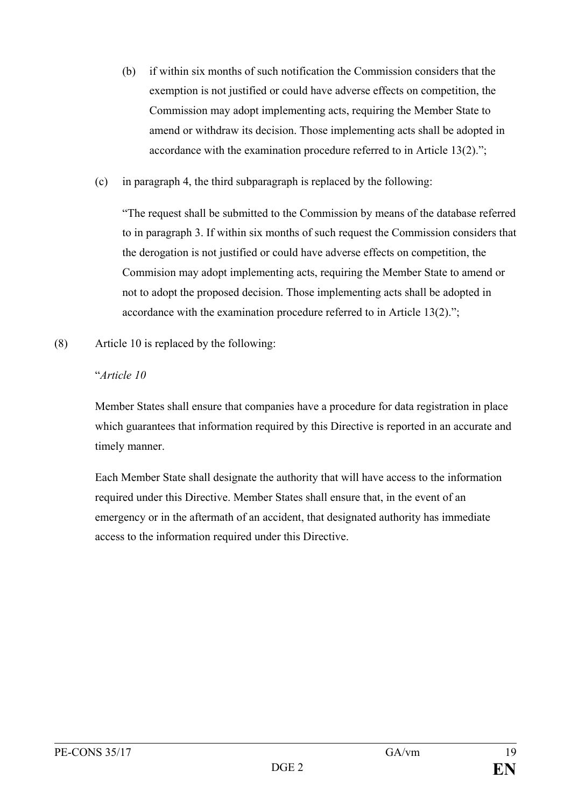- (b) if within six months of such notification the Commission considers that the exemption is not justified or could have adverse effects on competition, the Commission may adopt implementing acts, requiring the Member State to amend or withdraw its decision. Those implementing acts shall be adopted in accordance with the examination procedure referred to in Article 13(2).";
- (c) in paragraph 4, the third subparagraph is replaced by the following:

"The request shall be submitted to the Commission by means of the database referred to in paragraph 3. If within six months of such request the Commission considers that the derogation is not justified or could have adverse effects on competition, the Commision may adopt implementing acts, requiring the Member State to amend or not to adopt the proposed decision. Those implementing acts shall be adopted in accordance with the examination procedure referred to in Article 13(2).";

(8) Article 10 is replaced by the following:

#### "*Article 10*

Member States shall ensure that companies have a procedure for data registration in place which guarantees that information required by this Directive is reported in an accurate and timely manner.

Each Member State shall designate the authority that will have access to the information required under this Directive. Member States shall ensure that, in the event of an emergency or in the aftermath of an accident, that designated authority has immediate access to the information required under this Directive.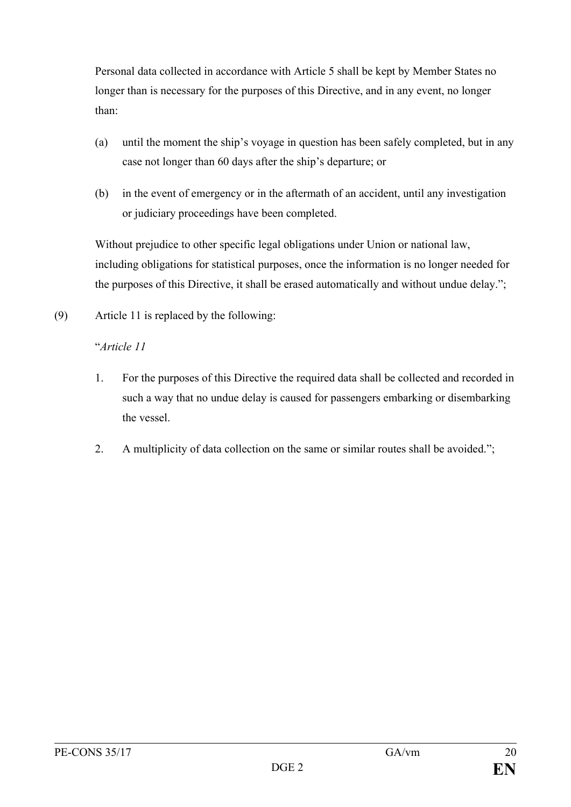Personal data collected in accordance with Article 5 shall be kept by Member States no longer than is necessary for the purposes of this Directive, and in any event, no longer than:

- (a) until the moment the ship's voyage in question has been safely completed, but in any case not longer than 60 days after the ship's departure; or
- (b) in the event of emergency or in the aftermath of an accident, until any investigation or judiciary proceedings have been completed.

Without prejudice to other specific legal obligations under Union or national law, including obligations for statistical purposes, once the information is no longer needed for the purposes of this Directive, it shall be erased automatically and without undue delay.";

(9) Article 11 is replaced by the following:

## "*Article 11*

- 1. For the purposes of this Directive the required data shall be collected and recorded in such a way that no undue delay is caused for passengers embarking or disembarking the vessel.
- 2. A multiplicity of data collection on the same or similar routes shall be avoided.":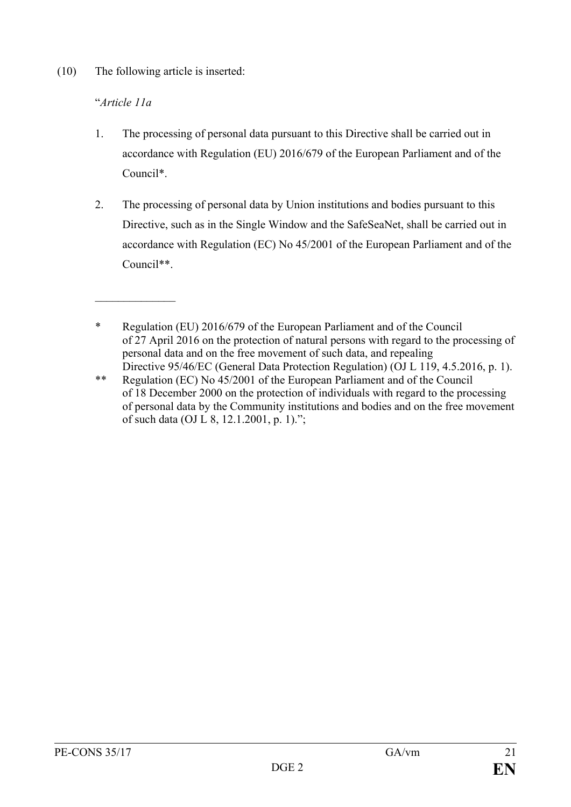(10) The following article is inserted:

### "*Article 11a*

 $\mathcal{L}_\text{max}$  . The set of the set of the set of the set of the set of the set of the set of the set of the set of the set of the set of the set of the set of the set of the set of the set of the set of the set of the set

- 1. The processing of personal data pursuant to this Directive shall be carried out in accordance with Regulation (EU) 2016/679 of the European Parliament and of the Council\*.
- 2. The processing of personal data by Union institutions and bodies pursuant to this Directive, such as in the Single Window and the SafeSeaNet, shall be carried out in accordance with Regulation (EC) No 45/2001 of the European Parliament and of the Council\*\*.

<sup>\*</sup> Regulation (EU) 2016/679 of the European Parliament and of the Council of 27 April 2016 on the protection of natural persons with regard to the processing of personal data and on the free movement of such data, and repealing Directive 95/46/EC (General Data Protection Regulation) (OJ L 119, 4.5.2016, p. 1).

<sup>\*\*</sup> Regulation (EC) No 45/2001 of the European Parliament and of the Council of 18 December 2000 on the protection of individuals with regard to the processing of personal data by the Community institutions and bodies and on the free movement of such data (OJ L 8, 12.1.2001, p. 1).";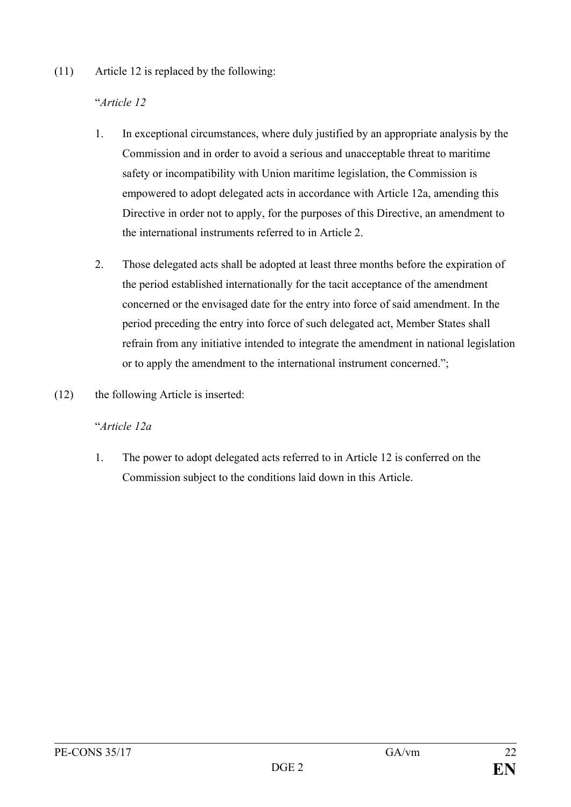#### (11) Article 12 is replaced by the following:

### "*Article 12*

- 1. In exceptional circumstances, where duly justified by an appropriate analysis by the Commission and in order to avoid a serious and unacceptable threat to maritime safety or incompatibility with Union maritime legislation, the Commission is empowered to adopt delegated acts in accordance with Article 12a, amending this Directive in order not to apply, for the purposes of this Directive, an amendment to the international instruments referred to in Article 2.
- 2. Those delegated acts shall be adopted at least three months before the expiration of the period established internationally for the tacit acceptance of the amendment concerned or the envisaged date for the entry into force of said amendment. In the period preceding the entry into force of such delegated act, Member States shall refrain from any initiative intended to integrate the amendment in national legislation or to apply the amendment to the international instrument concerned.";
- (12) the following Article is inserted:

#### "*Article 12a*

1. The power to adopt delegated acts referred to in Article 12 is conferred on the Commission subject to the conditions laid down in this Article.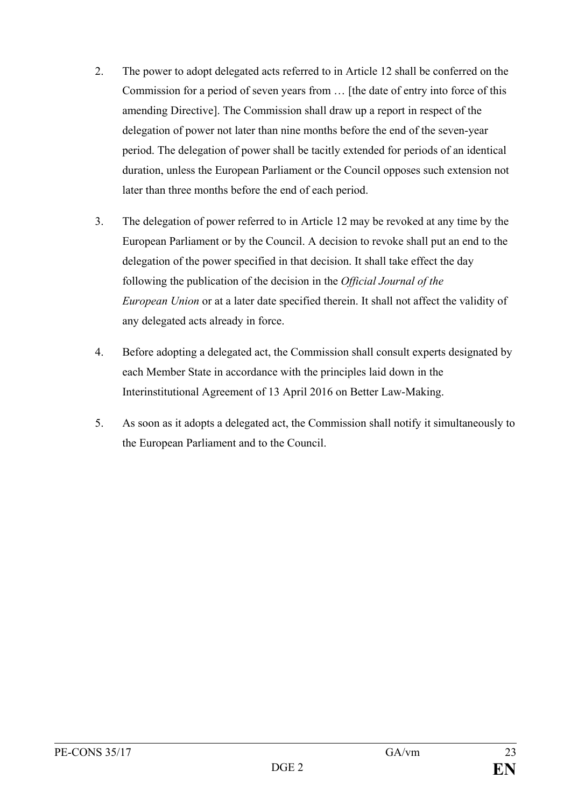- 2. The power to adopt delegated acts referred to in Article 12 shall be conferred on the Commission for a period of seven years from … [the date of entry into force of this amending Directive]. The Commission shall draw up a report in respect of the delegation of power not later than nine months before the end of the seven-year period. The delegation of power shall be tacitly extended for periods of an identical duration, unless the European Parliament or the Council opposes such extension not later than three months before the end of each period.
- 3. The delegation of power referred to in Article 12 may be revoked at any time by the European Parliament or by the Council. A decision to revoke shall put an end to the delegation of the power specified in that decision. It shall take effect the day following the publication of the decision in the *Official Journal of the European Union* or at a later date specified therein. It shall not affect the validity of any delegated acts already in force.
- 4. Before adopting a delegated act, the Commission shall consult experts designated by each Member State in accordance with the principles laid down in the Interinstitutional Agreement of 13 April 2016 on Better Law-Making.
- 5. As soon as it adopts a delegated act, the Commission shall notify it simultaneously to the European Parliament and to the Council.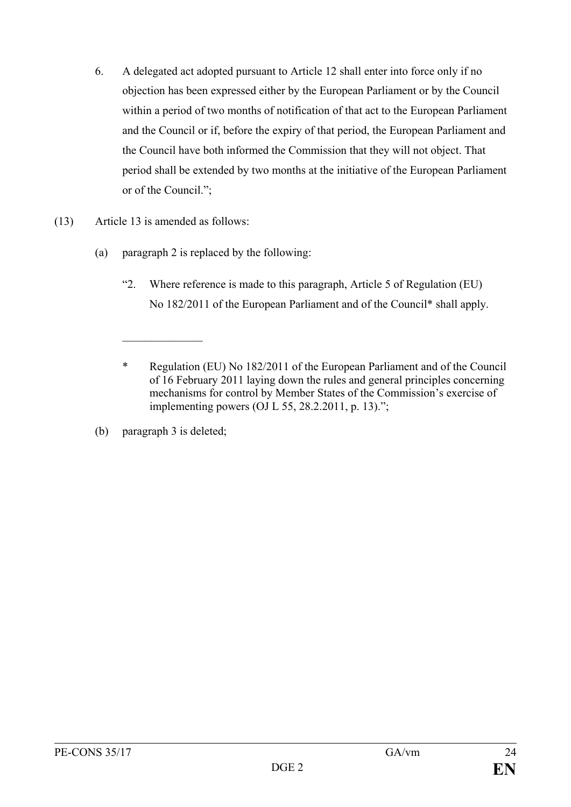- 6. A delegated act adopted pursuant to Article 12 shall enter into force only if no objection has been expressed either by the European Parliament or by the Council within a period of two months of notification of that act to the European Parliament and the Council or if, before the expiry of that period, the European Parliament and the Council have both informed the Commission that they will not object. That period shall be extended by two months at the initiative of the European Parliament or of the Council.";
- (13) Article 13 is amended as follows:
	- (a) paragraph 2 is replaced by the following:
		- "2. Where reference is made to this paragraph, Article 5 of Regulation (EU) No 182/2011 of the European Parliament and of the Council\* shall apply.

(b) paragraph 3 is deleted;

 $\frac{1}{2}$ 

<sup>\*</sup> Regulation (EU) No 182/2011 of the European Parliament and of the Council of 16 February 2011 laying down the rules and general principles concerning mechanisms for control by Member States of the Commission's exercise of implementing powers (OJ L 55, 28.2.2011, p. 13).";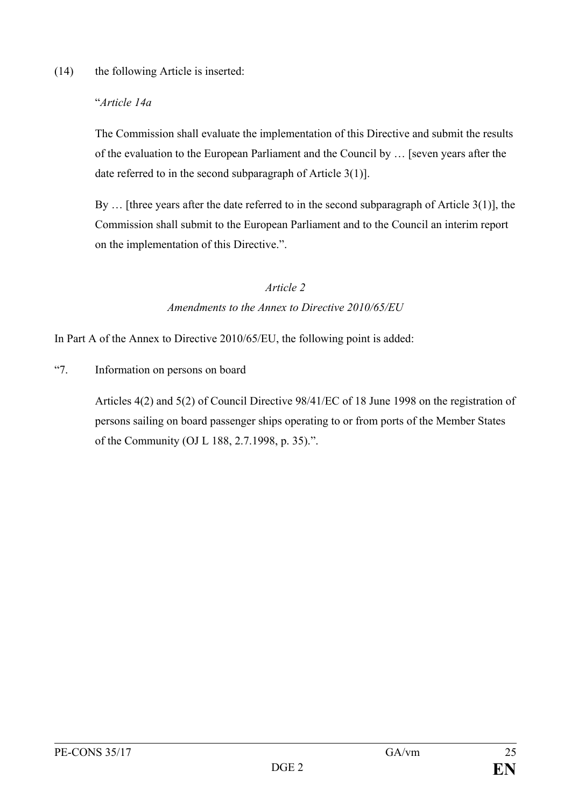(14) the following Article is inserted:

### "*Article 14a*

The Commission shall evaluate the implementation of this Directive and submit the results of the evaluation to the European Parliament and the Council by … [seven years after the date referred to in the second subparagraph of Article 3(1)].

By … [three years after the date referred to in the second subparagraph of Article 3(1)], the Commission shall submit to the European Parliament and to the Council an interim report on the implementation of this Directive.".

## *Article 2 Amendments to the Annex to Directive 2010/65/EU*

In Part A of the Annex to Directive 2010/65/EU, the following point is added:

"7. Information on persons on board

Articles 4(2) and 5(2) of Council Directive 98/41/EC of 18 June 1998 on the registration of persons sailing on board passenger ships operating to or from ports of the Member States of the Community (OJ L 188, 2.7.1998, p. 35).".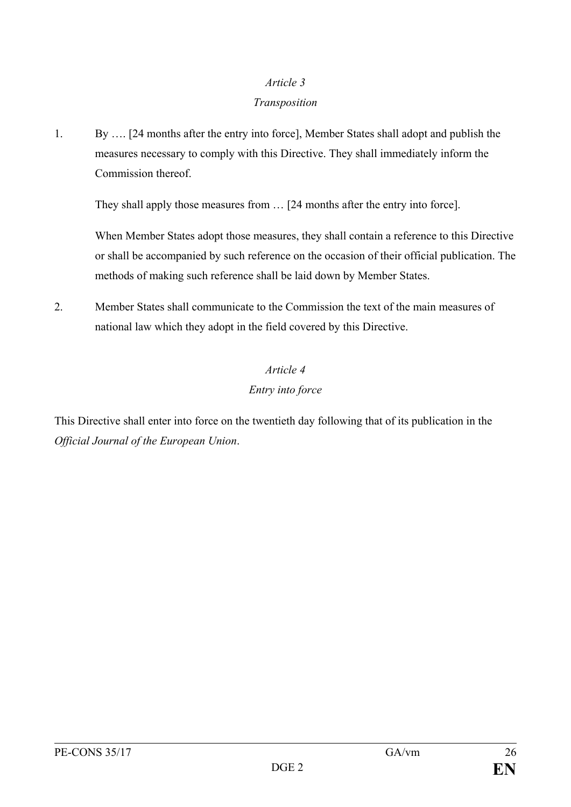#### *Article 3*

#### *Transposition*

1. By …. [24 months after the entry into force], Member States shall adopt and publish the measures necessary to comply with this Directive. They shall immediately inform the Commission thereof.

They shall apply those measures from … [24 months after the entry into force].

When Member States adopt those measures, they shall contain a reference to this Directive or shall be accompanied by such reference on the occasion of their official publication. The methods of making such reference shall be laid down by Member States.

2. Member States shall communicate to the Commission the text of the main measures of national law which they adopt in the field covered by this Directive.

## *Article 4*

## *Entry into force*

This Directive shall enter into force on the twentieth day following that of its publication in the *Official Journal of the European Union*.